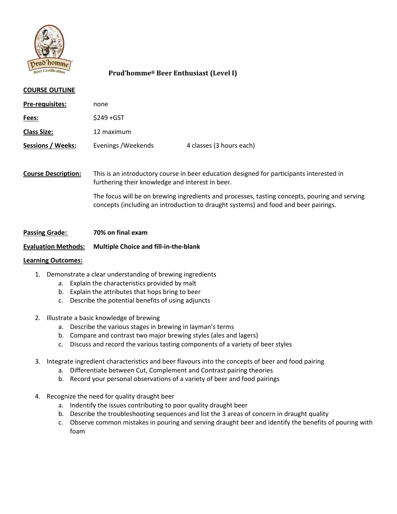

# **Prud'homme® Beer Enthusiast (Level I)**

#### **COURSE OUTLINE**

| Pre-requisites:     | none                |                          |
|---------------------|---------------------|--------------------------|
| Fees:               | $$249+GST$          |                          |
| <u> Class Size:</u> | 12 maximum          |                          |
| Sessions / Weeks:   | Evenings / Weekends | 4 classes (3 hours each) |

**Course Description:** This is an introductory course in beer education designed for participants interested in furthering their knowledge and interest in beer.

> The focus will be on brewing ingredients and processes, tasting concepts, pouring and serving concepts (including an introduction to draught systems) and food and beer pairings.

### **Passing Grade: 70% on final exam**

#### **Evaluation Methods: Multiple Choice and fill-in-the-blank**

#### **Learning Outcomes:**

- 1. Demonstrate a clear understanding of brewing ingredients
	- a. Explain the characteristics provided by malt
	- b. Explain the attributes that hops bring to beer
	- c. Describe the potential benefits of using adjuncts
- 2. Illustrate a basic knowledge of brewing
	- a. Describe the various stages in brewing in layman's terms
	- b. Compare and contrast two major brewing styles (ales and lagers)
	- c. Discuss and record the various tasting components of a variety of beer styles
- 3. Integrate ingredient characteristics and beer flavours into the concepts of beer and food pairing
	- a. Differentiate between Cut, Complement and Contrast pairing theories
	- b. Record your personal observations of a variety of beer and food pairings
- 4. Recognize the need for quality draught beer
	- a. Indentify the issues contributing to poor quality draught beer
	- b. Describe the troubleshooting sequences and list the 3 areas of concern in draught quality
	- c. Observe common mistakes in pouring and serving draught beer and identify the benefits of pouring with foam